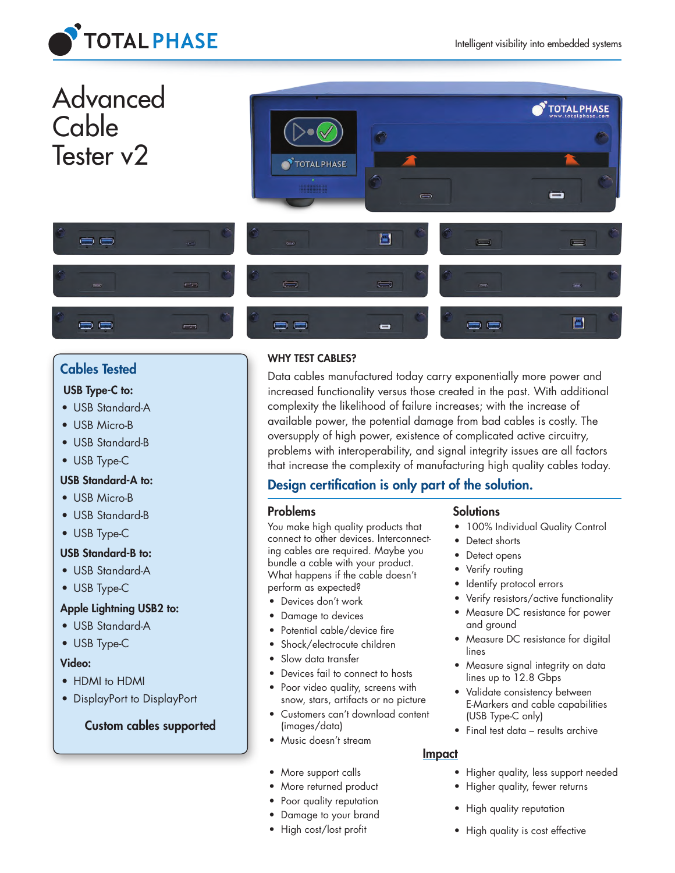



# Cables Tested

## USB Type-C to:

- USB Standard-A
- USB Micro-B
- USB Standard-B
- USB Type-C

## USB Standard-A to:

- USB Micro-B
- USB Standard-B
- USB Type-C

## USB Standard-B to:

- USB Standard-A
- USB Type-C

## Apple Lightning USB2 to:

- USB Standard-A
- USB Type-C

## Video:

- HDMI to HDMI
- DisplayPort to DisplayPort

## Custom cables supported

## WHY TEST CABLES?

Data cables manufactured today carry exponentially more power and increased functionality versus those created in the past. With additional complexity the likelihood of failure increases; with the increase of available power, the potential damage from bad cables is costly. The oversupply of high power, existence of complicated active circuitry, problems with interoperability, and signal integrity issues are all factors that increase the complexity of manufacturing high quality cables today.

## Design certification is only part of the solution.

#### Problems

You make high quality products that connect to other devices. Interconnecting cables are required. Maybe you bundle a cable with your product. What happens if the cable doesn't perform as expected?

- Devices don't work
- Damage to devices
- Potential cable/device fire
- Shock/electrocute children
- Slow data transfer
- Devices fail to connect to hosts
- Poor video quality, screens with snow, stars, artifacts or no picture
- Customers can't download content (images/data)
- Music doesn't stream
- More support calls
- More returned product
- Poor quality reputation
- Damage to your brand
- High cost/lost profit

## **Solutions**

- 100% Individual Quality Control
- Detect shorts
- Detect opens
- Verify routing
- Identify protocol errors
- Verify resistors/active functionality
- Measure DC resistance for power and ground
- Measure DC resistance for digital lines
- Measure signal integrity on data lines up to 12.8 Gbps
- Validate consistency between E-Markers and cable capabilities (USB Type-C only)
- Final test data results archive

## Impact

- Higher quality, less support needed
- Higher quality, fewer returns
- High quality reputation
- High quality is cost effective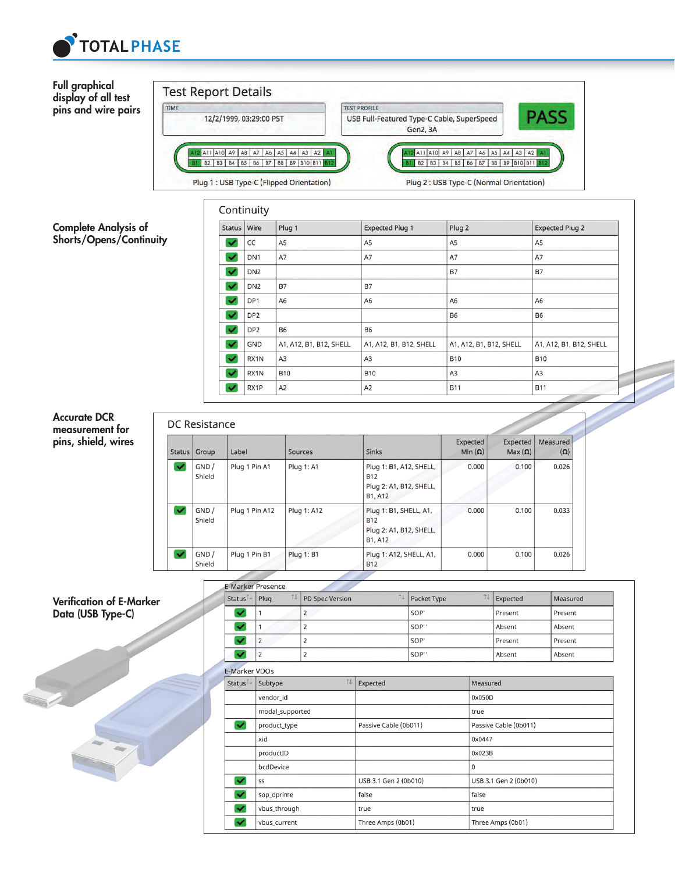



| <b>Status</b> | Group           | Label          | Sources           | <b>Sinks</b>                                                                | Expected<br>Min $(\Omega)$ | Expected  <br>$Max(\Omega)$ | Measured<br>$(\Omega)$ |
|---------------|-----------------|----------------|-------------------|-----------------------------------------------------------------------------|----------------------------|-----------------------------|------------------------|
| w             | GND /<br>Shield | Plug 1 Pin A1  | <b>Plug 1: A1</b> | Plug 1: B1, A12, SHELL,<br><b>B12</b><br>Plug 2: A1, B12, SHELL,<br>B1, A12 | 0.000                      | 0.100                       | 0.026                  |
| ᢦ             | GND/<br>Shield  | Plug 1 Pin A12 | Plug 1: A12       | Plug 1: B1, SHELL, A1,<br><b>B12</b><br>Plug 2: A1, B12, SHELL,<br>B1, A12  | 0.000                      | 0.100                       | 0.033                  |
| W.            | GND /<br>Shield | Plug 1 Pin B1  | <b>Plug 1: B1</b> | Plug 1: A12, SHELL, A1,<br><b>B12</b>                                       | 0.000                      | 0.100                       | 0.026                  |

#### Verification of E-Marker Data (USB Type-C)

| <b>Status</b> | 11<br>Plug | PD Spec Version | 11<br>Packet Type | Expected | Measured |
|---------------|------------|-----------------|-------------------|----------|----------|
|               |            |                 | SOP'              | Present  | Present  |
|               |            |                 | SOP"              | Absent   | Absent   |
|               |            |                 | SOP'              | Present  | Present  |
|               |            | ı               | SOP"              | Absent   | Absent   |

|                         | E-Marker VDOs   |                       |                       |  |  |
|-------------------------|-----------------|-----------------------|-----------------------|--|--|
| Status <sup>14</sup>    | 74<br>Subtype   | Expected              | Measured              |  |  |
|                         | vendor_id       |                       | 0x050D                |  |  |
|                         | modal_supported |                       | true                  |  |  |
| v                       | product_type    | Passive Cable (0b011) | Passive Cable (0b011) |  |  |
|                         | xid             |                       | 0x0447                |  |  |
|                         | productID       |                       | 0x023B                |  |  |
|                         | bcdDevice       |                       | 0                     |  |  |
| ×                       | SS              | USB 3.1 Gen 2 (0b010) | USB 3.1 Gen 2 (0b010) |  |  |
| ×                       | sop_dprime      | false                 | false                 |  |  |
| $\overline{\mathbf{v}}$ | vbus_through    | true                  | true                  |  |  |
| ×                       | vbus current    | Three Amps (0b01)     | Three Amps (0b01)     |  |  |
|                         |                 |                       |                       |  |  |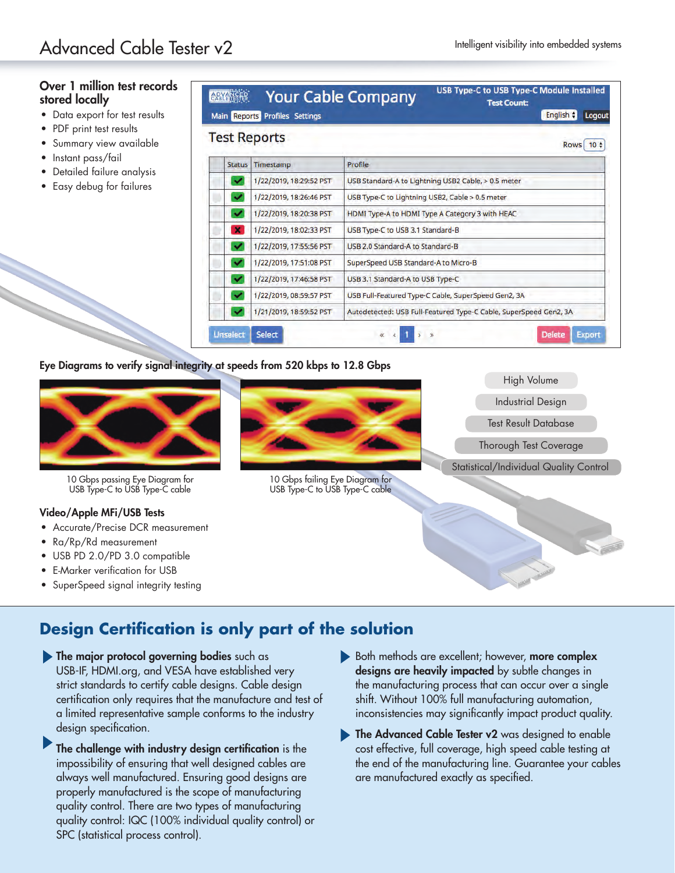## Over 1 million test records stored locally

- Data export for test results
- PDF print test results
- Summary view available
- Instant pass/fail
- Detailed failure analysis
- Easy debug for failures

|                              | <b>Test Reports</b>     | Rows $10 \div$                                                    |  |  |
|------------------------------|-------------------------|-------------------------------------------------------------------|--|--|
| <b>Status</b>                | Timestamp               | Profile                                                           |  |  |
| $\tilde{\phantom{a}}$        | 1/22/2019, 18:29:52 PST | USB Standard-A to Lightning USB2 Cable, > 0.5 meter               |  |  |
| v                            | 1/22/2019, 18:26:46 PST | USB Type-C to Lightning USB2, Cable > 0.5 meter                   |  |  |
| ×                            | 1/22/2019, 18:20:38 PST | HDMI Type-A to HDMI Type A Category 3 with HEAC                   |  |  |
| $\pmb{\times}$               | 1/22/2019, 18:02:33 PST | USB Type-C to USB 3.1 Standard-B                                  |  |  |
| ᢦ                            | 1/22/2019, 17:55:56 PST | USB 2.0 Standard-A to Standard-B                                  |  |  |
| v                            | 1/22/2019, 17:51:08 PST | SuperSpeed USB Standard-A to Micro-B                              |  |  |
| v<br>1/22/2019, 17:46:58 PST |                         | USB 3.1 Standard-A to USB Type-C                                  |  |  |
| v                            | 1/22/2019, 08:59:57 PST | USB Full-Featured Type-C Cable, SuperSpeed Gen2, 3A               |  |  |
| ᢦ                            | 1/21/2019, 18:59:52 PST | Autodetected: USB Full-Featured Type-C Cable, SuperSpeed Gen2, 3A |  |  |

#### Eye Diagrams to verify signal integrity at speeds from 520 kbps to 12.8 Gbps



10 Gbps passing Eye Diagram for USB Type-C to USB Type-C cable

#### Video/Apple MFi/USB Tests

- Accurate/Precise DCR measurement
- Ra/Rp/Rd measurement
- USB PD 2.0/PD 3.0 compatible
- E-Marker verification for USB
- SuperSpeed signal integrity testing



10 Gbps failing Eye Diagram for USB Type-C to USB Type-C cable



## **Design Certification is only part of the solution**

- **The major protocol governing bodies** such as USB-IF, HDMI.org, and VESA have established very strict standards to certify cable designs. Cable design certification only requires that the manufacture and test of a limited representative sample conforms to the industry design specification.
	- The challenge with industry design certification is the impossibility of ensuring that well designed cables are always well manufactured. Ensuring good designs are properly manufactured is the scope of manufacturing quality control. There are two types of manufacturing quality control: IQC (100% individual quality control) or SPC (statistical process control).
- Both methods are excellent; however, more complex designs are heavily impacted by subtle changes in the manufacturing process that can occur over a single shift. Without 100% full manufacturing automation, inconsistencies may significantly impact product quality.
- The Advanced Cable Tester v2 was designed to enable cost effective, full coverage, high speed cable testing at the end of the manufacturing line. Guarantee your cables are manufactured exactly as specified.